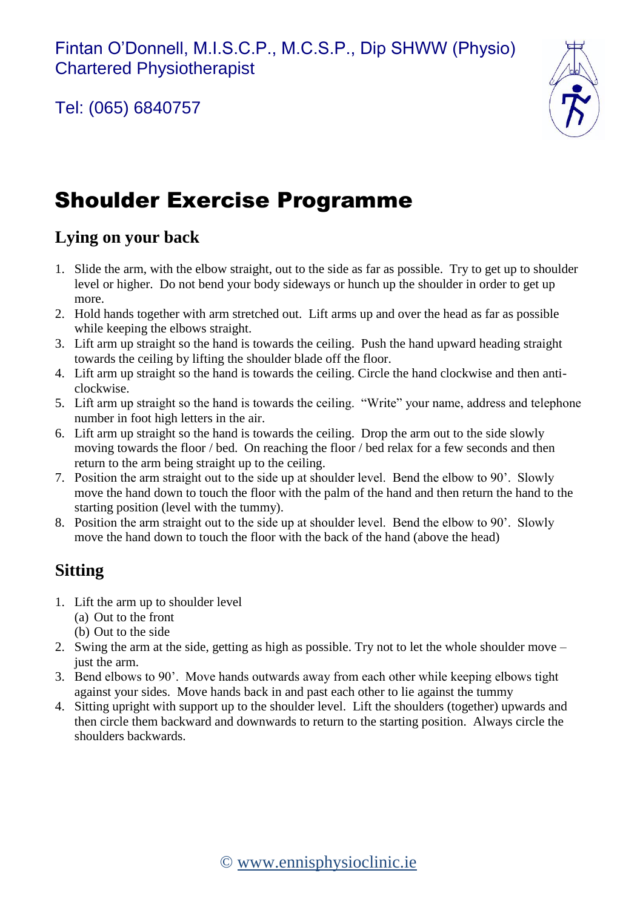Tel: (065) 6840757



# Shoulder Exercise Programme

### **Lying on your back**

- 1. Slide the arm, with the elbow straight, out to the side as far as possible. Try to get up to shoulder level or higher. Do not bend your body sideways or hunch up the shoulder in order to get up more.
- 2. Hold hands together with arm stretched out. Lift arms up and over the head as far as possible while keeping the elbows straight.
- 3. Lift arm up straight so the hand is towards the ceiling. Push the hand upward heading straight towards the ceiling by lifting the shoulder blade off the floor.
- 4. Lift arm up straight so the hand is towards the ceiling. Circle the hand clockwise and then anticlockwise.
- 5. Lift arm up straight so the hand is towards the ceiling. "Write" your name, address and telephone number in foot high letters in the air.
- 6. Lift arm up straight so the hand is towards the ceiling. Drop the arm out to the side slowly moving towards the floor / bed. On reaching the floor / bed relax for a few seconds and then return to the arm being straight up to the ceiling.
- 7. Position the arm straight out to the side up at shoulder level. Bend the elbow to 90'. Slowly move the hand down to touch the floor with the palm of the hand and then return the hand to the starting position (level with the tummy).
- 8. Position the arm straight out to the side up at shoulder level. Bend the elbow to 90'. Slowly move the hand down to touch the floor with the back of the hand (above the head)

## **Sitting**

- 1. Lift the arm up to shoulder level
	- (a) Out to the front
	- (b) Out to the side
- 2. Swing the arm at the side, getting as high as possible. Try not to let the whole shoulder move just the arm.
- 3. Bend elbows to 90'. Move hands outwards away from each other while keeping elbows tight against your sides. Move hands back in and past each other to lie against the tummy
- 4. Sitting upright with support up to the shoulder level. Lift the shoulders (together) upwards and then circle them backward and downwards to return to the starting position. Always circle the shoulders backwards.